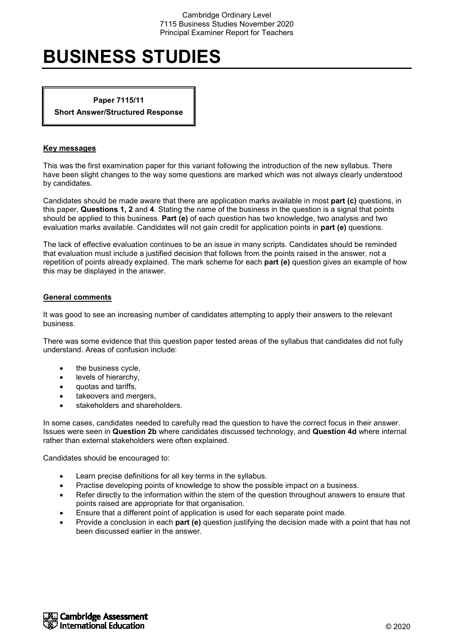# **BUSINESS STUDIES**

**Paper 7115/11**

**Short Answer/Structured Response**

# **Key messages**

This was the first examination paper for this variant following the introduction of the new syllabus. There have been slight changes to the way some questions are marked which was not always clearly understood by candidates.

Candidates should be made aware that there are application marks available in most **part (c)** questions, in this paper, **Questions 1, 2** and **4**. Stating the name of the business in the question is a signal that points should be applied to this business. **Part (e)** of each question has two knowledge, two analysis and two evaluation marks available. Candidates will not gain credit for application points in **part (e)** questions.

The lack of effective evaluation continues to be an issue in many scripts. Candidates should be reminded that evaluation must include a justified decision that follows from the points raised in the answer, not a repetition of points already explained. The mark scheme for each **part (e)** question gives an example of how this may be displayed in the answer.

# **General comments**

It was good to see an increasing number of candidates attempting to apply their answers to the relevant business.

There was some evidence that this question paper tested areas of the syllabus that candidates did not fully understand. Areas of confusion include:

- the business cycle,
- levels of hierarchy,
- quotas and tariffs,
- takeovers and mergers,
- stakeholders and shareholders.

In some cases, candidates needed to carefully read the question to have the correct focus in their answer. Issues were seen in **Question 2b** where candidates discussed technology, and **Question 4d** where internal rather than external stakeholders were often explained.

Candidates should be encouraged to:

- Learn precise definitions for all key terms in the syllabus.
- Practise developing points of knowledge to show the possible impact on a business.
- Refer directly to the information within the stem of the question throughout answers to ensure that points raised are appropriate for that organisation.
- Ensure that a different point of application is used for each separate point made.
- Provide a conclusion in each **part (e)** question justifying the decision made with a point that has not been discussed earlier in the answer.

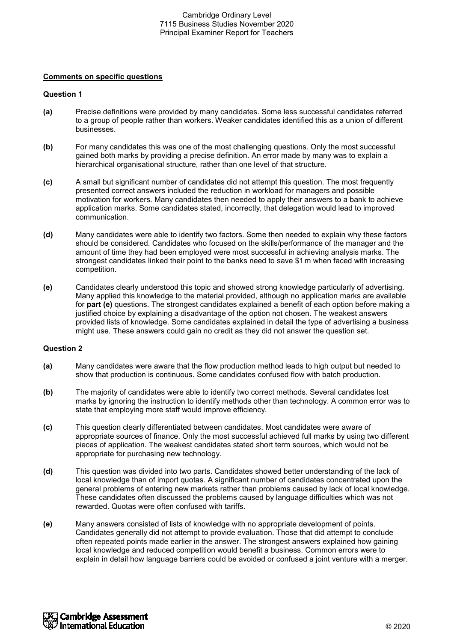# **Comments on specific questions**

# **Question 1**

- **(a)** Precise definitions were provided by many candidates. Some less successful candidates referred to a group of people rather than workers. Weaker candidates identified this as a union of different businesses.
- **(b)** For many candidates this was one of the most challenging questions. Only the most successful gained both marks by providing a precise definition. An error made by many was to explain a hierarchical organisational structure, rather than one level of that structure.
- **(c)** A small but significant number of candidates did not attempt this question. The most frequently presented correct answers included the reduction in workload for managers and possible motivation for workers. Many candidates then needed to apply their answers to a bank to achieve application marks. Some candidates stated, incorrectly, that delegation would lead to improved communication.
- **(d)** Many candidates were able to identify two factors. Some then needed to explain why these factors should be considered. Candidates who focused on the skills/performance of the manager and the amount of time they had been employed were most successful in achieving analysis marks. The strongest candidates linked their point to the banks need to save \$1 m when faced with increasing competition.
- **(e)** Candidates clearly understood this topic and showed strong knowledge particularly of advertising. Many applied this knowledge to the material provided, although no application marks are available for **part (e)** questions. The strongest candidates explained a benefit of each option before making a justified choice by explaining a disadvantage of the option not chosen. The weakest answers provided lists of knowledge. Some candidates explained in detail the type of advertising a business might use. These answers could gain no credit as they did not answer the question set.

- **(a)** Many candidates were aware that the flow production method leads to high output but needed to show that production is continuous. Some candidates confused flow with batch production.
- **(b)** The majority of candidates were able to identify two correct methods. Several candidates lost marks by ignoring the instruction to identify methods other than technology. A common error was to state that employing more staff would improve efficiency.
- **(c)** This question clearly differentiated between candidates. Most candidates were aware of appropriate sources of finance. Only the most successful achieved full marks by using two different pieces of application. The weakest candidates stated short term sources, which would not be appropriate for purchasing new technology.
- **(d)** This question was divided into two parts. Candidates showed better understanding of the lack of local knowledge than of import quotas. A significant number of candidates concentrated upon the general problems of entering new markets rather than problems caused by lack of local knowledge. These candidates often discussed the problems caused by language difficulties which was not rewarded. Quotas were often confused with tariffs.
- **(e)** Many answers consisted of lists of knowledge with no appropriate development of points. Candidates generally did not attempt to provide evaluation. Those that did attempt to conclude often repeated points made earlier in the answer. The strongest answers explained how gaining local knowledge and reduced competition would benefit a business. Common errors were to explain in detail how language barriers could be avoided or confused a joint venture with a merger.

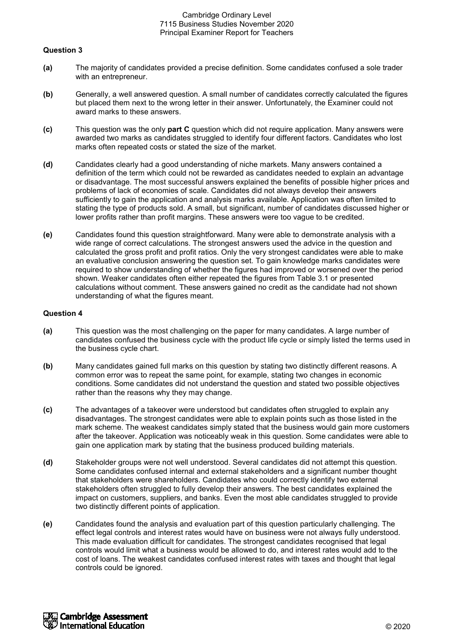# **Question 3**

- **(a)** The majority of candidates provided a precise definition. Some candidates confused a sole trader with an entrepreneur.
- **(b)** Generally, a well answered question. A small number of candidates correctly calculated the figures but placed them next to the wrong letter in their answer. Unfortunately, the Examiner could not award marks to these answers.
- **(c)** This question was the only **part C** question which did not require application. Many answers were awarded two marks as candidates struggled to identify four different factors. Candidates who lost marks often repeated costs or stated the size of the market.
- **(d)** Candidates clearly had a good understanding of niche markets. Many answers contained a definition of the term which could not be rewarded as candidates needed to explain an advantage or disadvantage. The most successful answers explained the benefits of possible higher prices and problems of lack of economies of scale. Candidates did not always develop their answers sufficiently to gain the application and analysis marks available. Application was often limited to stating the type of products sold. A small, but significant, number of candidates discussed higher or lower profits rather than profit margins. These answers were too vague to be credited.
- **(e)** Candidates found this question straightforward. Many were able to demonstrate analysis with a wide range of correct calculations. The strongest answers used the advice in the question and calculated the gross profit and profit ratios. Only the very strongest candidates were able to make an evaluative conclusion answering the question set. To gain knowledge marks candidates were required to show understanding of whether the figures had improved or worsened over the period shown. Weaker candidates often either repeated the figures from Table 3.1 or presented calculations without comment. These answers gained no credit as the candidate had not shown understanding of what the figures meant.

- **(a)** This question was the most challenging on the paper for many candidates. A large number of candidates confused the business cycle with the product life cycle or simply listed the terms used in the business cycle chart.
- **(b)** Many candidates gained full marks on this question by stating two distinctly different reasons. A common error was to repeat the same point, for example, stating two changes in economic conditions. Some candidates did not understand the question and stated two possible objectives rather than the reasons why they may change.
- **(c)** The advantages of a takeover were understood but candidates often struggled to explain any disadvantages. The strongest candidates were able to explain points such as those listed in the mark scheme. The weakest candidates simply stated that the business would gain more customers after the takeover. Application was noticeably weak in this question. Some candidates were able to gain one application mark by stating that the business produced building materials.
- **(d)** Stakeholder groups were not well understood. Several candidates did not attempt this question. Some candidates confused internal and external stakeholders and a significant number thought that stakeholders were shareholders. Candidates who could correctly identify two external stakeholders often struggled to fully develop their answers. The best candidates explained the impact on customers, suppliers, and banks. Even the most able candidates struggled to provide two distinctly different points of application.
- **(e)** Candidates found the analysis and evaluation part of this question particularly challenging. The effect legal controls and interest rates would have on business were not always fully understood. This made evaluation difficult for candidates. The strongest candidates recognised that legal controls would limit what a business would be allowed to do, and interest rates would add to the cost of loans. The weakest candidates confused interest rates with taxes and thought that legal controls could be ignored.

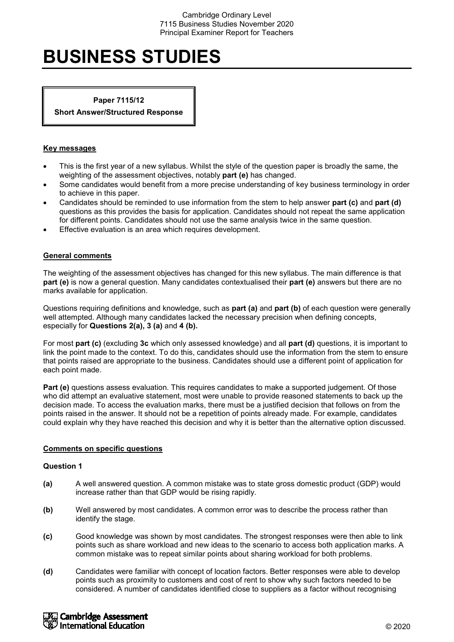# **BUSINESS STUDIES**

**Paper 7115/12**

**Short Answer/Structured Response**

# **Key messages**

- This is the first year of a new syllabus. Whilst the style of the question paper is broadly the same, the weighting of the assessment objectives, notably **part (e)** has changed.
- Some candidates would benefit from a more precise understanding of key business terminology in order to achieve in this paper.
- Candidates should be reminded to use information from the stem to help answer **part (c)** and **part (d)**  questions as this provides the basis for application. Candidates should not repeat the same application for different points. Candidates should not use the same analysis twice in the same question.
- Effective evaluation is an area which requires development.

# **General comments**

The weighting of the assessment objectives has changed for this new syllabus. The main difference is that **part (e)** is now a general question. Many candidates contextualised their **part (e)** answers but there are no marks available for application.

Questions requiring definitions and knowledge, such as **part (a)** and **part (b)** of each question were generally well attempted. Although many candidates lacked the necessary precision when defining concepts, especially for **Questions 2(a), 3 (a)** and **4 (b).**

For most **part (c)** (excluding **3c** which only assessed knowledge) and all **part (d)** questions, it is important to link the point made to the context. To do this, candidates should use the information from the stem to ensure that points raised are appropriate to the business. Candidates should use a different point of application for each point made.

**Part (e)** questions assess evaluation. This requires candidates to make a supported judgement. Of those who did attempt an evaluative statement, most were unable to provide reasoned statements to back up the decision made. To access the evaluation marks, there must be a justified decision that follows on from the points raised in the answer. It should not be a repetition of points already made. For example, candidates could explain why they have reached this decision and why it is better than the alternative option discussed.

#### **Comments on specific questions**

- **(a)** A well answered question. A common mistake was to state gross domestic product (GDP) would increase rather than that GDP would be rising rapidly.
- **(b)** Well answered by most candidates. A common error was to describe the process rather than identify the stage.
- **(c)** Good knowledge was shown by most candidates. The strongest responses were then able to link points such as share workload and new ideas to the scenario to access both application marks. A common mistake was to repeat similar points about sharing workload for both problems.
- **(d)** Candidates were familiar with concept of location factors. Better responses were able to develop points such as proximity to customers and cost of rent to show why such factors needed to be considered. A number of candidates identified close to suppliers as a factor without recognising

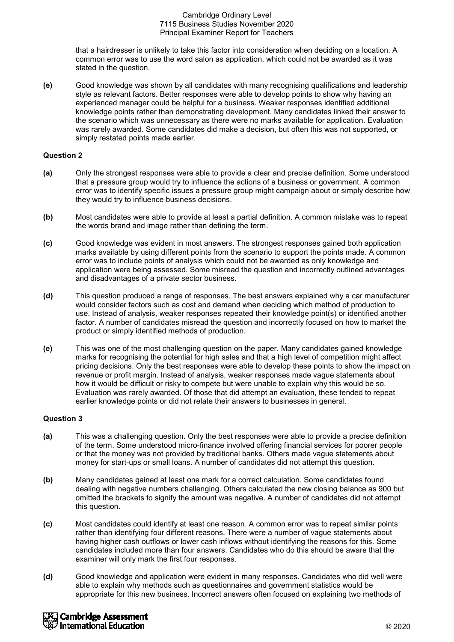that a hairdresser is unlikely to take this factor into consideration when deciding on a location. A common error was to use the word salon as application, which could not be awarded as it was stated in the question.

**(e)** Good knowledge was shown by all candidates with many recognising qualifications and leadership style as relevant factors. Better responses were able to develop points to show why having an experienced manager could be helpful for a business. Weaker responses identified additional knowledge points rather than demonstrating development. Many candidates linked their answer to the scenario which was unnecessary as there were no marks available for application. Evaluation was rarely awarded. Some candidates did make a decision, but often this was not supported, or simply restated points made earlier.

# **Question 2**

- **(a)** Only the strongest responses were able to provide a clear and precise definition. Some understood that a pressure group would try to influence the actions of a business or government. A common error was to identify specific issues a pressure group might campaign about or simply describe how they would try to influence business decisions.
- **(b)** Most candidates were able to provide at least a partial definition. A common mistake was to repeat the words brand and image rather than defining the term.
- **(c)** Good knowledge was evident in most answers. The strongest responses gained both application marks available by using different points from the scenario to support the points made. A common error was to include points of analysis which could not be awarded as only knowledge and application were being assessed. Some misread the question and incorrectly outlined advantages and disadvantages of a private sector business.
- **(d)** This question produced a range of responses. The best answers explained why a car manufacturer would consider factors such as cost and demand when deciding which method of production to use. Instead of analysis, weaker responses repeated their knowledge point(s) or identified another factor. A number of candidates misread the question and incorrectly focused on how to market the product or simply identified methods of production.
- **(e)** This was one of the most challenging question on the paper. Many candidates gained knowledge marks for recognising the potential for high sales and that a high level of competition might affect pricing decisions. Only the best responses were able to develop these points to show the impact on revenue or profit margin. Instead of analysis, weaker responses made vague statements about how it would be difficult or risky to compete but were unable to explain why this would be so. Evaluation was rarely awarded. Of those that did attempt an evaluation, these tended to repeat earlier knowledge points or did not relate their answers to businesses in general.

- **(a)** This was a challenging question. Only the best responses were able to provide a precise definition of the term. Some understood micro-finance involved offering financial services for poorer people or that the money was not provided by traditional banks. Others made vague statements about money for start-ups or small loans. A number of candidates did not attempt this question.
- **(b)** Many candidates gained at least one mark for a correct calculation. Some candidates found dealing with negative numbers challenging. Others calculated the new closing balance as 900 but omitted the brackets to signify the amount was negative. A number of candidates did not attempt this question.
- **(c)** Most candidates could identify at least one reason. A common error was to repeat similar points rather than identifying four different reasons. There were a number of vague statements about having higher cash outflows or lower cash inflows without identifying the reasons for this. Some candidates included more than four answers. Candidates who do this should be aware that the examiner will only mark the first four responses.
- **(d)** Good knowledge and application were evident in many responses. Candidates who did well were able to explain why methods such as questionnaires and government statistics would be appropriate for this new business. Incorrect answers often focused on explaining two methods of

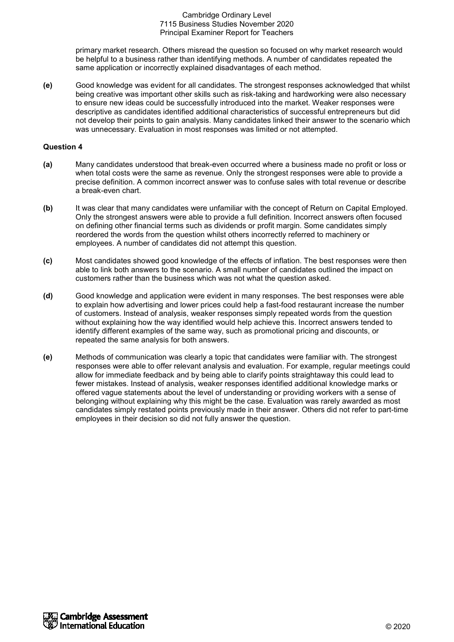primary market research. Others misread the question so focused on why market research would be helpful to a business rather than identifying methods. A number of candidates repeated the same application or incorrectly explained disadvantages of each method.

**(e)** Good knowledge was evident for all candidates. The strongest responses acknowledged that whilst being creative was important other skills such as risk-taking and hardworking were also necessary to ensure new ideas could be successfully introduced into the market. Weaker responses were descriptive as candidates identified additional characteristics of successful entrepreneurs but did not develop their points to gain analysis. Many candidates linked their answer to the scenario which was unnecessary. Evaluation in most responses was limited or not attempted.

- **(a)** Many candidates understood that break-even occurred where a business made no profit or loss or when total costs were the same as revenue. Only the strongest responses were able to provide a precise definition. A common incorrect answer was to confuse sales with total revenue or describe a break-even chart.
- **(b)** It was clear that many candidates were unfamiliar with the concept of Return on Capital Employed. Only the strongest answers were able to provide a full definition. Incorrect answers often focused on defining other financial terms such as dividends or profit margin. Some candidates simply reordered the words from the question whilst others incorrectly referred to machinery or employees. A number of candidates did not attempt this question.
- **(c)** Most candidates showed good knowledge of the effects of inflation. The best responses were then able to link both answers to the scenario. A small number of candidates outlined the impact on customers rather than the business which was not what the question asked.
- **(d)** Good knowledge and application were evident in many responses. The best responses were able to explain how advertising and lower prices could help a fast-food restaurant increase the number of customers. Instead of analysis, weaker responses simply repeated words from the question without explaining how the way identified would help achieve this. Incorrect answers tended to identify different examples of the same way, such as promotional pricing and discounts, or repeated the same analysis for both answers.
- **(e)** Methods of communication was clearly a topic that candidates were familiar with. The strongest responses were able to offer relevant analysis and evaluation. For example, regular meetings could allow for immediate feedback and by being able to clarify points straightaway this could lead to fewer mistakes. Instead of analysis, weaker responses identified additional knowledge marks or offered vague statements about the level of understanding or providing workers with a sense of belonging without explaining why this might be the case. Evaluation was rarely awarded as most candidates simply restated points previously made in their answer. Others did not refer to part-time employees in their decision so did not fully answer the question.

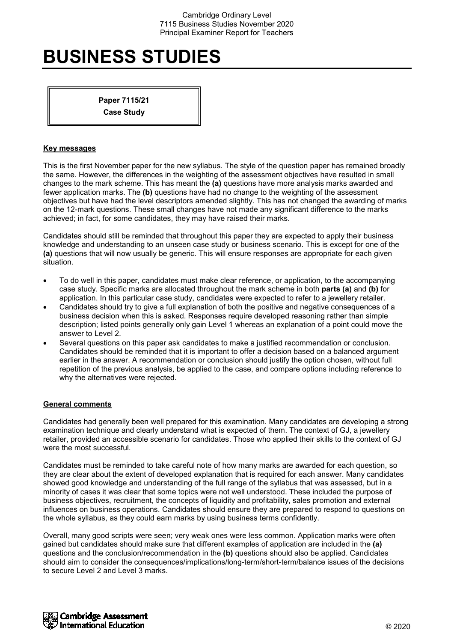# **BUSINESS STUDIES**

**Paper 7115/21 Case Study**

### **Key messages**

This is the first November paper for the new syllabus. The style of the question paper has remained broadly the same. However, the differences in the weighting of the assessment objectives have resulted in small changes to the mark scheme. This has meant the **(a)** questions have more analysis marks awarded and fewer application marks. The **(b)** questions have had no change to the weighting of the assessment objectives but have had the level descriptors amended slightly. This has not changed the awarding of marks on the 12-mark questions. These small changes have not made any significant difference to the marks achieved; in fact, for some candidates, they may have raised their marks.

Candidates should still be reminded that throughout this paper they are expected to apply their business knowledge and understanding to an unseen case study or business scenario. This is except for one of the **(a)** questions that will now usually be generic. This will ensure responses are appropriate for each given situation.

- To do well in this paper, candidates must make clear reference, or application, to the accompanying case study. Specific marks are allocated throughout the mark scheme in both **parts (a)** and **(b)** for application. In this particular case study, candidates were expected to refer to a jewellery retailer.
- Candidates should try to give a full explanation of both the positive and negative consequences of a business decision when this is asked. Responses require developed reasoning rather than simple description; listed points generally only gain Level 1 whereas an explanation of a point could move the answer to Level 2.
- Several questions on this paper ask candidates to make a justified recommendation or conclusion. Candidates should be reminded that it is important to offer a decision based on a balanced argument earlier in the answer. A recommendation or conclusion should justify the option chosen, without full repetition of the previous analysis, be applied to the case, and compare options including reference to why the alternatives were rejected.

# **General comments**

Candidates had generally been well prepared for this examination. Many candidates are developing a strong examination technique and clearly understand what is expected of them. The context of GJ, a jewellery retailer, provided an accessible scenario for candidates. Those who applied their skills to the context of GJ were the most successful.

Candidates must be reminded to take careful note of how many marks are awarded for each question, so they are clear about the extent of developed explanation that is required for each answer. Many candidates showed good knowledge and understanding of the full range of the syllabus that was assessed, but in a minority of cases it was clear that some topics were not well understood. These included the purpose of business objectives, recruitment, the concepts of liquidity and profitability, sales promotion and external influences on business operations. Candidates should ensure they are prepared to respond to questions on the whole syllabus, as they could earn marks by using business terms confidently.

Overall, many good scripts were seen; very weak ones were less common. Application marks were often gained but candidates should make sure that different examples of application are included in the **(a)** questions and the conclusion/recommendation in the **(b)** questions should also be applied. Candidates should aim to consider the consequences/implications/long-term/short-term/balance issues of the decisions to secure Level 2 and Level 3 marks.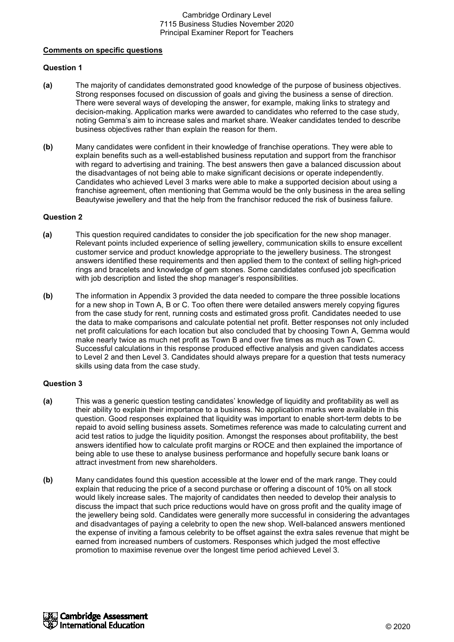#### **Comments on specific questions**

# **Question 1**

- **(a)** The majority of candidates demonstrated good knowledge of the purpose of business objectives. Strong responses focused on discussion of goals and giving the business a sense of direction. There were several ways of developing the answer, for example, making links to strategy and decision-making. Application marks were awarded to candidates who referred to the case study, noting Gemma's aim to increase sales and market share. Weaker candidates tended to describe business objectives rather than explain the reason for them.
- **(b)** Many candidates were confident in their knowledge of franchise operations. They were able to explain benefits such as a well-established business reputation and support from the franchisor with regard to advertising and training. The best answers then gave a balanced discussion about the disadvantages of not being able to make significant decisions or operate independently. Candidates who achieved Level 3 marks were able to make a supported decision about using a franchise agreement, often mentioning that Gemma would be the only business in the area selling Beautywise jewellery and that the help from the franchisor reduced the risk of business failure.

# **Question 2**

- **(a)** This question required candidates to consider the job specification for the new shop manager. Relevant points included experience of selling jewellery, communication skills to ensure excellent customer service and product knowledge appropriate to the jewellery business. The strongest answers identified these requirements and then applied them to the context of selling high-priced rings and bracelets and knowledge of gem stones. Some candidates confused job specification with job description and listed the shop manager's responsibilities.
- **(b)** The information in Appendix 3 provided the data needed to compare the three possible locations for a new shop in Town A, B or C. Too often there were detailed answers merely copying figures from the case study for rent, running costs and estimated gross profit. Candidates needed to use the data to make comparisons and calculate potential net profit. Better responses not only included net profit calculations for each location but also concluded that by choosing Town A, Gemma would make nearly twice as much net profit as Town B and over five times as much as Town C. Successful calculations in this response produced effective analysis and given candidates access to Level 2 and then Level 3. Candidates should always prepare for a question that tests numeracy skills using data from the case study.

- **(a)** This was a generic question testing candidates' knowledge of liquidity and profitability as well as their ability to explain their importance to a business. No application marks were available in this question. Good responses explained that liquidity was important to enable short-term debts to be repaid to avoid selling business assets. Sometimes reference was made to calculating current and acid test ratios to judge the liquidity position. Amongst the responses about profitability, the best answers identified how to calculate profit margins or ROCE and then explained the importance of being able to use these to analyse business performance and hopefully secure bank loans or attract investment from new shareholders.
- **(b)** Many candidates found this question accessible at the lower end of the mark range. They could explain that reducing the price of a second purchase or offering a discount of 10% on all stock would likely increase sales. The majority of candidates then needed to develop their analysis to discuss the impact that such price reductions would have on gross profit and the quality image of the jewellery being sold. Candidates were generally more successful in considering the advantages and disadvantages of paying a celebrity to open the new shop. Well-balanced answers mentioned the expense of inviting a famous celebrity to be offset against the extra sales revenue that might be earned from increased numbers of customers. Responses which judged the most effective promotion to maximise revenue over the longest time period achieved Level 3.

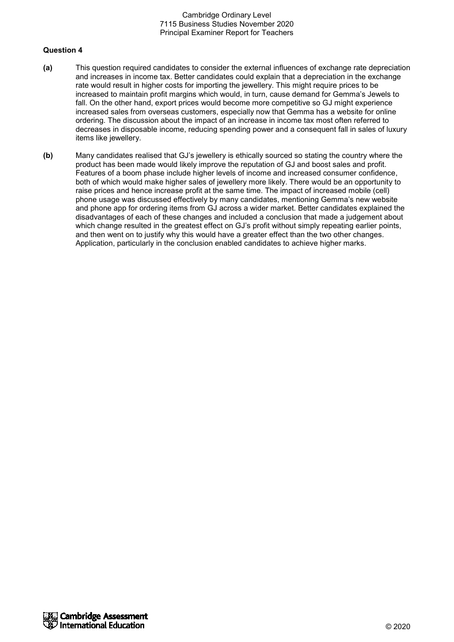- **(a)** This question required candidates to consider the external influences of exchange rate depreciation and increases in income tax. Better candidates could explain that a depreciation in the exchange rate would result in higher costs for importing the jewellery. This might require prices to be increased to maintain profit margins which would, in turn, cause demand for Gemma's Jewels to fall. On the other hand, export prices would become more competitive so GJ might experience increased sales from overseas customers, especially now that Gemma has a website for online ordering. The discussion about the impact of an increase in income tax most often referred to decreases in disposable income, reducing spending power and a consequent fall in sales of luxury items like jewellery.
- **(b)** Many candidates realised that GJ's jewellery is ethically sourced so stating the country where the product has been made would likely improve the reputation of GJ and boost sales and profit. Features of a boom phase include higher levels of income and increased consumer confidence, both of which would make higher sales of jewellery more likely. There would be an opportunity to raise prices and hence increase profit at the same time. The impact of increased mobile (cell) phone usage was discussed effectively by many candidates, mentioning Gemma's new website and phone app for ordering items from GJ across a wider market. Better candidates explained the disadvantages of each of these changes and included a conclusion that made a judgement about which change resulted in the greatest effect on GJ's profit without simply repeating earlier points, and then went on to justify why this would have a greater effect than the two other changes. Application, particularly in the conclusion enabled candidates to achieve higher marks.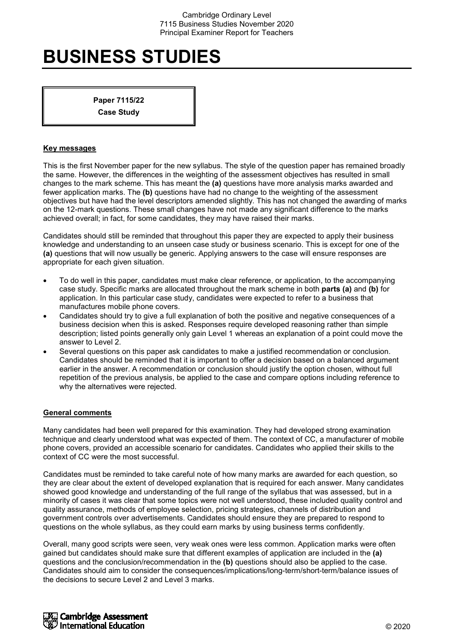# **BUSINESS STUDIES**

**Paper 7115/22 Case Study**

### **Key messages**

This is the first November paper for the new syllabus. The style of the question paper has remained broadly the same. However, the differences in the weighting of the assessment objectives has resulted in small changes to the mark scheme. This has meant the **(a)** questions have more analysis marks awarded and fewer application marks. The **(b)** questions have had no change to the weighting of the assessment objectives but have had the level descriptors amended slightly. This has not changed the awarding of marks on the 12-mark questions. These small changes have not made any significant difference to the marks achieved overall; in fact, for some candidates, they may have raised their marks.

Candidates should still be reminded that throughout this paper they are expected to apply their business knowledge and understanding to an unseen case study or business scenario. This is except for one of the **(a)** questions that will now usually be generic. Applying answers to the case will ensure responses are appropriate for each given situation.

- To do well in this paper, candidates must make clear reference, or application, to the accompanying case study. Specific marks are allocated throughout the mark scheme in both **parts (a)** and **(b)** for application. In this particular case study, candidates were expected to refer to a business that manufactures mobile phone covers.
- Candidates should try to give a full explanation of both the positive and negative consequences of a business decision when this is asked. Responses require developed reasoning rather than simple description; listed points generally only gain Level 1 whereas an explanation of a point could move the answer to Level 2.
- Several questions on this paper ask candidates to make a justified recommendation or conclusion. Candidates should be reminded that it is important to offer a decision based on a balanced argument earlier in the answer. A recommendation or conclusion should justify the option chosen, without full repetition of the previous analysis, be applied to the case and compare options including reference to why the alternatives were rejected.

#### **General comments**

Many candidates had been well prepared for this examination. They had developed strong examination technique and clearly understood what was expected of them. The context of CC, a manufacturer of mobile phone covers, provided an accessible scenario for candidates. Candidates who applied their skills to the context of CC were the most successful.

Candidates must be reminded to take careful note of how many marks are awarded for each question, so they are clear about the extent of developed explanation that is required for each answer. Many candidates showed good knowledge and understanding of the full range of the syllabus that was assessed, but in a minority of cases it was clear that some topics were not well understood, these included quality control and quality assurance, methods of employee selection, pricing strategies, channels of distribution and government controls over advertisements. Candidates should ensure they are prepared to respond to questions on the whole syllabus, as they could earn marks by using business terms confidently.

Overall, many good scripts were seen, very weak ones were less common. Application marks were often gained but candidates should make sure that different examples of application are included in the **(a)** questions and the conclusion/recommendation in the **(b)** questions should also be applied to the case. Candidates should aim to consider the consequences/implications/long-term/short-term/balance issues of the decisions to secure Level 2 and Level 3 marks.

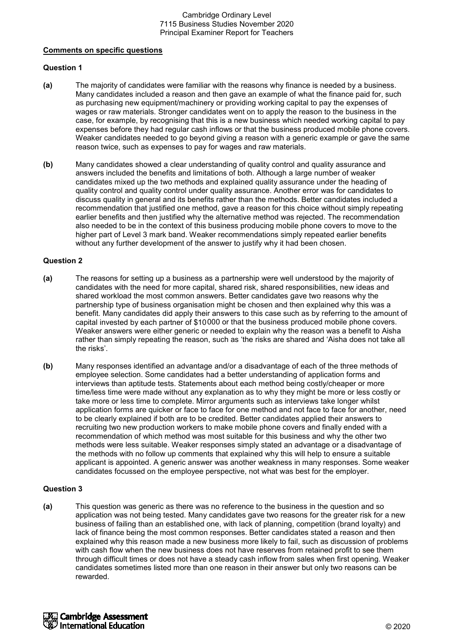#### **Comments on specific questions**

# **Question 1**

- **(a)** The majority of candidates were familiar with the reasons why finance is needed by a business. Many candidates included a reason and then gave an example of what the finance paid for, such as purchasing new equipment/machinery or providing working capital to pay the expenses of wages or raw materials. Stronger candidates went on to apply the reason to the business in the case, for example, by recognising that this is a new business which needed working capital to pay expenses before they had regular cash inflows or that the business produced mobile phone covers. Weaker candidates needed to go beyond giving a reason with a generic example or gave the same reason twice, such as expenses to pay for wages and raw materials.
- **(b)** Many candidates showed a clear understanding of quality control and quality assurance and answers included the benefits and limitations of both. Although a large number of weaker candidates mixed up the two methods and explained quality assurance under the heading of quality control and quality control under quality assurance. Another error was for candidates to discuss quality in general and its benefits rather than the methods. Better candidates included a recommendation that justified one method, gave a reason for this choice without simply repeating earlier benefits and then justified why the alternative method was rejected. The recommendation also needed to be in the context of this business producing mobile phone covers to move to the higher part of Level 3 mark band. Weaker recommendations simply repeated earlier benefits without any further development of the answer to justify why it had been chosen.

# **Question 2**

- **(a)** The reasons for setting up a business as a partnership were well understood by the majority of candidates with the need for more capital, shared risk, shared responsibilities, new ideas and shared workload the most common answers. Better candidates gave two reasons why the partnership type of business organisation might be chosen and then explained why this was a benefit. Many candidates did apply their answers to this case such as by referring to the amount of capital invested by each partner of \$10000 or that the business produced mobile phone covers. Weaker answers were either generic or needed to explain why the reason was a benefit to Aisha rather than simply repeating the reason, such as 'the risks are shared and 'Aisha does not take all the risks'.
- **(b)** Many responses identified an advantage and/or a disadvantage of each of the three methods of employee selection. Some candidates had a better understanding of application forms and interviews than aptitude tests. Statements about each method being costly/cheaper or more time/less time were made without any explanation as to why they might be more or less costly or take more or less time to complete. Mirror arguments such as interviews take longer whilst application forms are quicker or face to face for one method and not face to face for another, need to be clearly explained if both are to be credited. Better candidates applied their answers to recruiting two new production workers to make mobile phone covers and finally ended with a recommendation of which method was most suitable for this business and why the other two methods were less suitable. Weaker responses simply stated an advantage or a disadvantage of the methods with no follow up comments that explained why this will help to ensure a suitable applicant is appointed. A generic answer was another weakness in many responses. Some weaker candidates focussed on the employee perspective, not what was best for the employer.

#### **Question 3**

**(a)** This question was generic as there was no reference to the business in the question and so application was not being tested. Many candidates gave two reasons for the greater risk for a new business of failing than an established one, with lack of planning, competition (brand loyalty) and lack of finance being the most common responses. Better candidates stated a reason and then explained why this reason made a new business more likely to fail, such as discussion of problems with cash flow when the new business does not have reserves from retained profit to see them through difficult times or does not have a steady cash inflow from sales when first opening. Weaker candidates sometimes listed more than one reason in their answer but only two reasons can be rewarded.